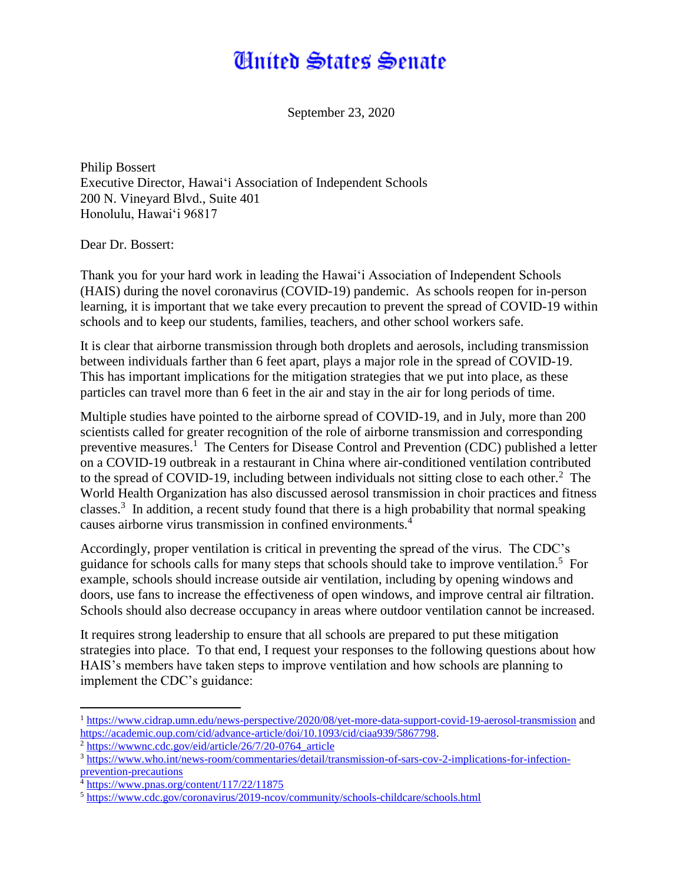## **Anited States Senate**

September 23, 2020

Philip Bossert Executive Director, Hawaiʻi Association of Independent Schools 200 N. Vineyard Blvd., Suite 401 Honolulu, Hawaiʻi 96817

Dear Dr. Bossert:

Thank you for your hard work in leading the Hawaiʻi Association of Independent Schools (HAIS) during the novel coronavirus (COVID-19) pandemic. As schools reopen for in-person learning, it is important that we take every precaution to prevent the spread of COVID-19 within schools and to keep our students, families, teachers, and other school workers safe.

It is clear that airborne transmission through both droplets and aerosols, including transmission between individuals farther than 6 feet apart, plays a major role in the spread of COVID-19. This has important implications for the mitigation strategies that we put into place, as these particles can travel more than 6 feet in the air and stay in the air for long periods of time.

Multiple studies have pointed to the airborne spread of COVID-19, and in July, more than 200 scientists called for greater recognition of the role of airborne transmission and corresponding preventive measures.<sup>1</sup> The Centers for Disease Control and Prevention (CDC) published a letter on a COVID-19 outbreak in a restaurant in China where air-conditioned ventilation contributed to the spread of COVID-19, including between individuals not sitting close to each other. $2$  The World Health Organization has also discussed aerosol transmission in choir practices and fitness classes.<sup>3</sup> In addition, a recent study found that there is a high probability that normal speaking causes airborne virus transmission in confined environments.<sup>4</sup>

Accordingly, proper ventilation is critical in preventing the spread of the virus. The CDC's guidance for schools calls for many steps that schools should take to improve ventilation.<sup>5</sup> For example, schools should increase outside air ventilation, including by opening windows and doors, use fans to increase the effectiveness of open windows, and improve central air filtration. Schools should also decrease occupancy in areas where outdoor ventilation cannot be increased.

It requires strong leadership to ensure that all schools are prepared to put these mitigation strategies into place. To that end, I request your responses to the following questions about how HAIS's members have taken steps to improve ventilation and how schools are planning to implement the CDC's guidance:

 $\overline{\phantom{a}}$ 

<sup>&</sup>lt;sup>1</sup> <https://www.cidrap.umn.edu/news-perspective/2020/08/yet-more-data-support-covid-19-aerosol-transmission> and [https://academic.oup.com/cid/advance-article/doi/10.1093/cid/ciaa939/5867798.](https://academic.oup.com/cid/advance-article/doi/10.1093/cid/ciaa939/5867798)

<sup>2</sup> [https://wwwnc.cdc.gov/eid/article/26/7/20-0764\\_article](https://wwwnc.cdc.gov/eid/article/26/7/20-0764_article)

<sup>3</sup> [https://www.who.int/news-room/commentaries/detail/transmission-of-sars-cov-2-implications-for-infection](https://www.who.int/news-room/commentaries/detail/transmission-of-sars-cov-2-implications-for-infection-prevention-precautions)[prevention-precautions](https://www.who.int/news-room/commentaries/detail/transmission-of-sars-cov-2-implications-for-infection-prevention-precautions)

<sup>4</sup> <https://www.pnas.org/content/117/22/11875>

<sup>5</sup> <https://www.cdc.gov/coronavirus/2019-ncov/community/schools-childcare/schools.html>